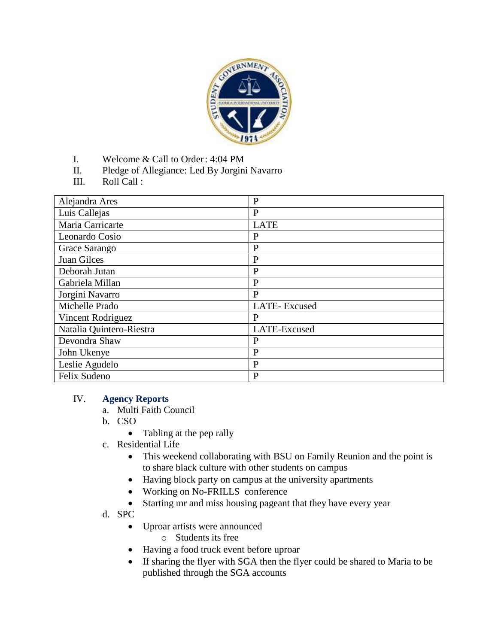

- I. Welcome & Call to Order: 4:04 PM
- II. Pledge of Allegiance: Led By Jorgini Navarro
- III. Roll Call :

| Alejandra Ares           | $\mathbf{P}$ |
|--------------------------|--------------|
| Luis Callejas            | $\mathbf{P}$ |
| Maria Carricarte         | <b>LATE</b>  |
| Leonardo Cosio           | P            |
| Grace Sarango            | $\mathbf{P}$ |
| Juan Gilces              | $\mathbf{P}$ |
| Deborah Jutan            | $\mathbf{P}$ |
| Gabriela Millan          | P            |
| Jorgini Navarro          | $\mathbf{P}$ |
| Michelle Prado           | LATE-Excused |
| Vincent Rodriguez        | P            |
| Natalia Quintero-Riestra | LATE-Excused |
| Devondra Shaw            | P            |
| John Ukenye              | $\mathbf{P}$ |
| Leslie Agudelo           | $\mathbf{P}$ |
| Felix Sudeno             | $\mathbf{P}$ |

#### IV. **Agency Reports**

- a. Multi Faith Council
- b. CSO
	- Tabling at the pep rally
- c. Residential Life
	- This weekend collaborating with BSU on Family Reunion and the point is to share black culture with other students on campus
	- Having block party on campus at the university apartments
	- Working on No-FRILLS conference
	- Starting mr and miss housing pageant that they have every year
- d. SPC
	- Uproar artists were announced
		- o Students its free
	- Having a food truck event before uproar
	- If sharing the flyer with SGA then the flyer could be shared to Maria to be published through the SGA accounts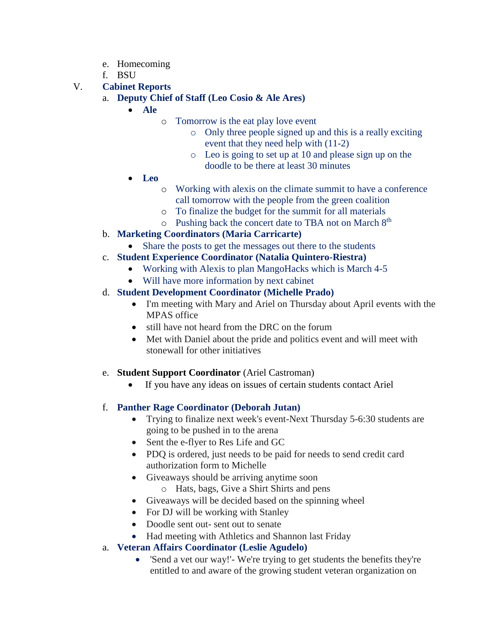- e. Homecoming
- f. BSU
- V. **Cabinet Reports**
	- a. **Deputy Chief of Staff (Leo Cosio & Ale Ares)**
		- **Ale**
			- o Tomorrow is the eat play love event
				- o Only three people signed up and this is a really exciting event that they need help with (11-2)
				- o Leo is going to set up at 10 and please sign up on the doodle to be there at least 30 minutes
		- **Leo**
			- o Working with alexis on the climate summit to have a conference call tomorrow with the people from the green coalition
			- o To finalize the budget for the summit for all materials
			- $\circ$  Pushing back the concert date to TBA not on March  $8<sup>th</sup>$
	- b. **Marketing Coordinators (Maria Carricarte)**
		- Share the posts to get the messages out there to the students
	- c. **Student Experience Coordinator (Natalia Quintero-Riestra)**
		- Working with Alexis to plan MangoHacks which is March 4-5
		- Will have more information by next cabinet

## d. **Student Development Coordinator (Michelle Prado)**

- I'm meeting with Mary and Ariel on Thursday about April events with the MPAS office
- still have not heard from the DRC on the forum
- Met with Daniel about the pride and politics event and will meet with stonewall for other initiatives

### e. **Student Support Coordinator** (Ariel Castroman)

If you have any ideas on issues of certain students contact Ariel

# f. **Panther Rage Coordinator (Deborah Jutan)**

- Trying to finalize next week's event-Next Thursday 5-6:30 students are going to be pushed in to the arena
- Sent the e-flyer to Res Life and GC
- PDQ is ordered, just needs to be paid for needs to send credit card authorization form to Michelle
- Giveaways should be arriving anytime soon
	- o Hats, bags, Give a Shirt Shirts and pens
- Giveaways will be decided based on the spinning wheel
- For DJ will be working with Stanley
- Doodle sent out- sent out to senate
- Had meeting with Athletics and Shannon last Friday

### a. **Veteran Affairs Coordinator (Leslie Agudelo)**

 'Send a vet our way!'- We're trying to get students the benefits they're entitled to and aware of the growing student veteran organization on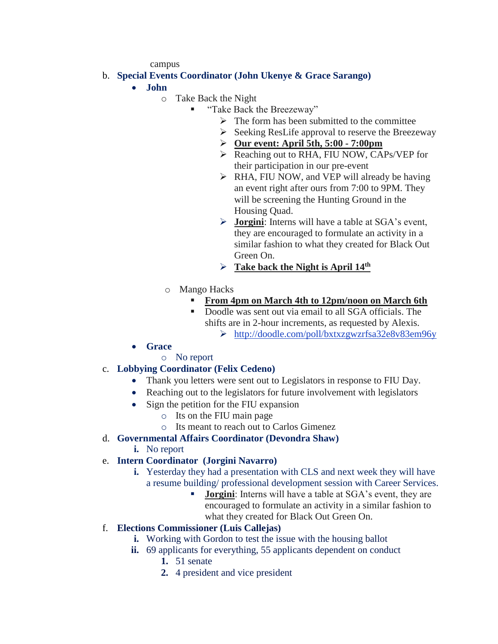campus

### b. **Special Events Coordinator (John Ukenye & Grace Sarango)**

- **John** 
	- o Take Back the Night
		- "Take Back the Breezeway"
			- $\triangleright$  The form has been submitted to the committee
			- $\triangleright$  Seeking ResLife approval to reserve the Breezeway
			- **Our event: April 5th, 5:00 - 7:00pm**
			- ▶ Reaching out to RHA, FIU NOW, CAPs/VEP for their participation in our pre-event
			- $\triangleright$  RHA, FIU NOW, and VEP will already be having an event right after ours from 7:00 to 9PM. They will be screening the Hunting Ground in the Housing Quad.
			- **Jorgini**: Interns will have a table at SGA's event, they are encouraged to formulate an activity in a similar fashion to what they created for Black Out Green On.
			- **Take back the Night is April 14th**
	- o Mango Hacks
		- **From 4pm on March 4th to 12pm/noon on March 6th**
		- Doodle was sent out via email to all SGA officials. The shifts are in 2-hour increments, as requested by Alexis. <http://doodle.com/poll/bxtxzgwzrfsa32e8v83em96y>
- **Grace**
	- o No report

# c. **Lobbying Coordinator (Felix Cedeno)**

- Thank you letters were sent out to Legislators in response to FIU Day.
- Reaching out to the legislators for future involvement with legislators
- Sign the petition for the FIU expansion
	- o Its on the FIU main page
	- o Its meant to reach out to Carlos Gimenez

### d. **Governmental Affairs Coordinator (Devondra Shaw)**

**i.** No report

# e. **Intern Coordinator (Jorgini Navarro)**

- **i.** Yesterday they had a presentation with CLS and next week they will have a resume building/ professional development session with Career Services.
	- **Jorgini**: Interns will have a table at SGA's event, they are encouraged to formulate an activity in a similar fashion to what they created for Black Out Green On.

### f. **Elections Commissioner (Luis Callejas)**

- **i.** Working with Gordon to test the issue with the housing ballot
- **ii.** 69 applicants for everything, 55 applicants dependent on conduct
	- **1.** 51 senate
	- **2.** 4 president and vice president